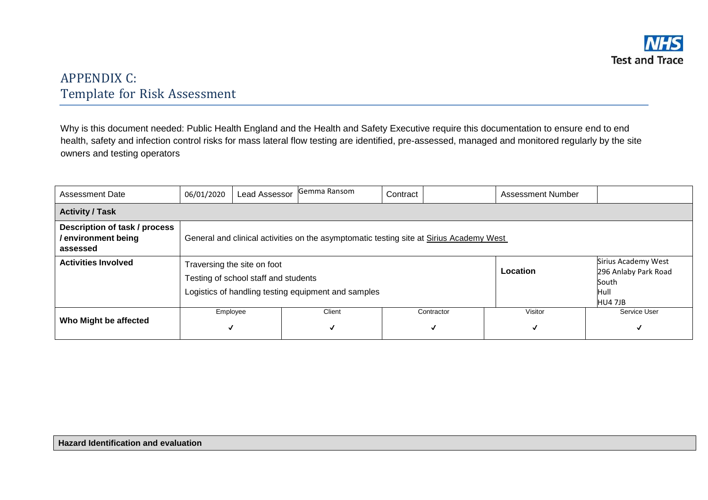

## APPENDIX C: Template for Risk Assessment

Why is this document needed: Public Health England and the Health and Safety Executive require this documentation to ensure end to end health, safety and infection control risks for mass lateral flow testing are identified, pre-assessed, managed and monitored regularly by the site owners and testing operators

| Assessment Date                                                 | 06/01/2020    | <b>Lead Assessor</b>                                                                                                       | Gemma Ransom | Contract |                 | <b>Assessment Number</b> |                                                                         |  |  |  |
|-----------------------------------------------------------------|---------------|----------------------------------------------------------------------------------------------------------------------------|--------------|----------|-----------------|--------------------------|-------------------------------------------------------------------------|--|--|--|
| <b>Activity / Task</b>                                          |               |                                                                                                                            |              |          |                 |                          |                                                                         |  |  |  |
| Description of task / process<br>/environment being<br>assessed |               | General and clinical activities on the asymptomatic testing site at Sirius Academy West                                    |              |          |                 |                          |                                                                         |  |  |  |
| <b>Activities Involved</b>                                      |               | Traversing the site on foot<br>Testing of school staff and students<br>Logistics of handling testing equipment and samples |              |          |                 | Location                 | Sirius Academy West<br>296 Anlaby Park Road<br>South<br>Hull<br>HU4 7JB |  |  |  |
| Who Might be affected                                           | Employee<br>√ |                                                                                                                            | Client<br>√  |          | Contractor<br>√ | Visitor<br>√             | Service User<br>M                                                       |  |  |  |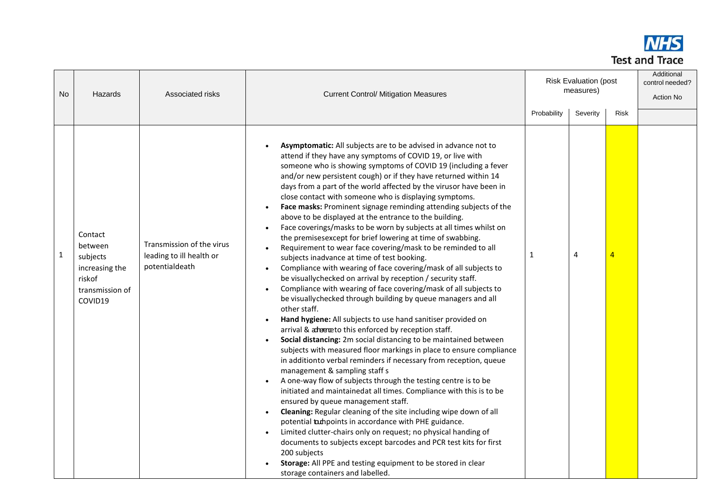

| N <sub>o</sub> | Hazards                                                                                  | Associated risks                                                        | <b>Risk Evaluation (post</b><br>measures)<br><b>Current Control/ Mitigation Measures</b><br>Severity<br><b>Risk</b><br>Probability                                                                                                                                                                                                                                                                                                                                                                                                                                                                                                                                                                                                                                                                                                                                                                                                                                                                                                                                                                                                                                                                                                                                                                                                                                                                                                                                                                                                                                                                                                                                                                                                                                                                                                                                                                                                                                                                                                        |   |   | Additional<br>control needed?<br>Action No |  |
|----------------|------------------------------------------------------------------------------------------|-------------------------------------------------------------------------|-------------------------------------------------------------------------------------------------------------------------------------------------------------------------------------------------------------------------------------------------------------------------------------------------------------------------------------------------------------------------------------------------------------------------------------------------------------------------------------------------------------------------------------------------------------------------------------------------------------------------------------------------------------------------------------------------------------------------------------------------------------------------------------------------------------------------------------------------------------------------------------------------------------------------------------------------------------------------------------------------------------------------------------------------------------------------------------------------------------------------------------------------------------------------------------------------------------------------------------------------------------------------------------------------------------------------------------------------------------------------------------------------------------------------------------------------------------------------------------------------------------------------------------------------------------------------------------------------------------------------------------------------------------------------------------------------------------------------------------------------------------------------------------------------------------------------------------------------------------------------------------------------------------------------------------------------------------------------------------------------------------------------------------------|---|---|--------------------------------------------|--|
| 1              | Contact<br>between<br>subjects<br>increasing the<br>riskof<br>transmission of<br>COVID19 | Transmission of the virus<br>leading to ill health or<br>potentialdeath | Asymptomatic: All subjects are to be advised in advance not to<br>attend if they have any symptoms of COVID 19, or live with<br>someone who is showing symptoms of COVID 19 (including a fever<br>and/or new persistent cough) or if they have returned within 14<br>days from a part of the world affected by the virusor have been in<br>close contact with someone who is displaying symptoms.<br>Face masks: Prominent signage reminding attending subjects of the<br>above to be displayed at the entrance to the building.<br>Face coverings/masks to be worn by subjects at all times whilst on<br>$\bullet$<br>the premisesexcept for brief lowering at time of swabbing.<br>Requirement to wear face covering/mask to be reminded to all<br>subjects inadvance at time of test booking.<br>Compliance with wearing of face covering/mask of all subjects to<br>be visuallychecked on arrival by reception / security staff.<br>Compliance with wearing of face covering/mask of all subjects to<br>be visually checked through building by queue managers and all<br>other staff.<br>Hand hygiene: All subjects to use hand sanitiser provided on<br>arrival & advento this enforced by reception staff.<br>Social distancing: 2m social distancing to be maintained between<br>subjects with measured floor markings in place to ensure compliance<br>in additionto verbal reminders if necessary from reception, queue<br>management & sampling staff s<br>A one-way flow of subjects through the testing centre is to be<br>initiated and maintainedat all times. Compliance with this is to be<br>ensured by queue management staff.<br>Cleaning: Regular cleaning of the site including wipe down of all<br>potential tampoints in accordance with PHE guidance.<br>Limited clutter-chairs only on request; no physical handing of<br>documents to subjects except barcodes and PCR test kits for first<br>200 subjects<br>Storage: All PPE and testing equipment to be stored in clear<br>storage containers and labelled. | 1 | 4 | 4                                          |  |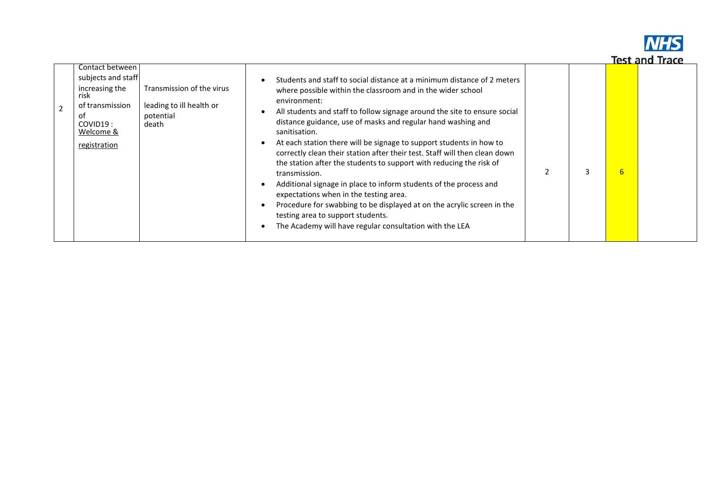

|                | Contact between             |                           |                                                                                                                                                   |   |   |  |
|----------------|-----------------------------|---------------------------|---------------------------------------------------------------------------------------------------------------------------------------------------|---|---|--|
|                | subjects and staff          |                           | Students and staff to social distance at a minimum distance of 2 meters                                                                           |   |   |  |
|                | increasing the<br>risk      | Transmission of the virus | where possible within the classroom and in the wider school<br>environment:                                                                       |   |   |  |
| $\overline{2}$ | of transmission             | leading to ill health or  | All students and staff to follow signage around the site to ensure social                                                                         |   |   |  |
|                | оf<br>COVID19:<br>Welcome & | potential<br>death        | distance guidance, use of masks and regular hand washing and<br>sanitisation.                                                                     |   |   |  |
|                | registration                |                           | At each station there will be signage to support students in how to<br>correctly clean their station after their test. Staff will then clean down |   |   |  |
|                |                             |                           | the station after the students to support with reducing the risk of<br>transmission.                                                              | 3 | 6 |  |
|                |                             |                           | Additional signage in place to inform students of the process and<br>expectations when in the testing area.                                       |   |   |  |
|                |                             |                           | Procedure for swabbing to be displayed at on the acrylic screen in the<br>testing area to support students.                                       |   |   |  |
|                |                             |                           | The Academy will have regular consultation with the LEA                                                                                           |   |   |  |
|                |                             |                           |                                                                                                                                                   |   |   |  |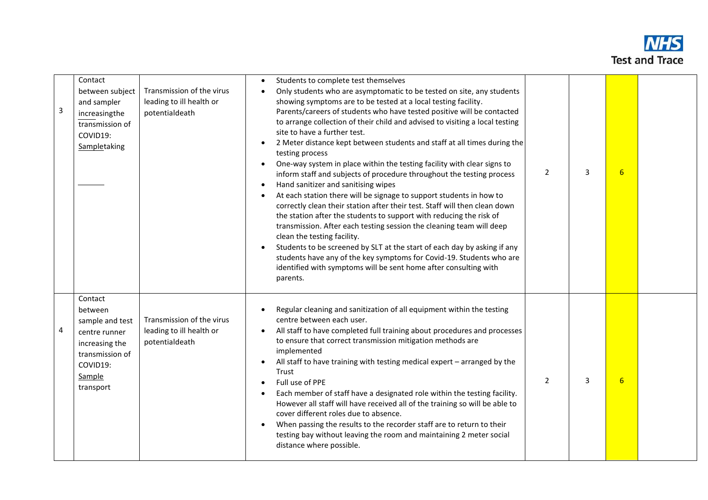

| 3 | Contact<br>between subject<br>and sampler<br>increasingthe<br>transmission of<br>COVID19:<br>Sampletaking                      | Transmission of the virus<br>leading to ill health or<br>potentialdeath | Students to complete test themselves<br>$\bullet$<br>Only students who are asymptomatic to be tested on site, any students<br>$\bullet$<br>showing symptoms are to be tested at a local testing facility.<br>Parents/careers of students who have tested positive will be contacted<br>to arrange collection of their child and advised to visiting a local testing<br>site to have a further test.<br>2 Meter distance kept between students and staff at all times during the<br>$\bullet$<br>testing process<br>One-way system in place within the testing facility with clear signs to<br>$\bullet$<br>inform staff and subjects of procedure throughout the testing process<br>Hand sanitizer and sanitising wipes<br>$\bullet$<br>At each station there will be signage to support students in how to<br>$\bullet$<br>correctly clean their station after their test. Staff will then clean down<br>the station after the students to support with reducing the risk of<br>transmission. After each testing session the cleaning team will deep<br>clean the testing facility.<br>Students to be screened by SLT at the start of each day by asking if any<br>$\bullet$<br>students have any of the key symptoms for Covid-19. Students who are<br>identified with symptoms will be sent home after consulting with<br>parents. | $\overline{2}$ | 3 | $6 \overline{6}$ |  |
|---|--------------------------------------------------------------------------------------------------------------------------------|-------------------------------------------------------------------------|---------------------------------------------------------------------------------------------------------------------------------------------------------------------------------------------------------------------------------------------------------------------------------------------------------------------------------------------------------------------------------------------------------------------------------------------------------------------------------------------------------------------------------------------------------------------------------------------------------------------------------------------------------------------------------------------------------------------------------------------------------------------------------------------------------------------------------------------------------------------------------------------------------------------------------------------------------------------------------------------------------------------------------------------------------------------------------------------------------------------------------------------------------------------------------------------------------------------------------------------------------------------------------------------------------------------------------------|----------------|---|------------------|--|
| 4 | Contact<br>between<br>sample and test<br>centre runner<br>increasing the<br>transmission of<br>COVID19:<br>Sample<br>transport | Transmission of the virus<br>leading to ill health or<br>potentialdeath | Regular cleaning and sanitization of all equipment within the testing<br>centre between each user.<br>All staff to have completed full training about procedures and processes<br>$\bullet$<br>to ensure that correct transmission mitigation methods are<br>implemented<br>All staff to have training with testing medical expert - arranged by the<br>$\bullet$<br>Trust<br>Full use of PPE<br>$\bullet$<br>Each member of staff have a designated role within the testing facility.<br>However all staff will have received all of the training so will be able to<br>cover different roles due to absence.<br>When passing the results to the recorder staff are to return to their<br>testing bay without leaving the room and maintaining 2 meter social<br>distance where possible.                                                                                                                                                                                                                                                                                                                                                                                                                                                                                                                                            | $\overline{2}$ | 3 | $6 \overline{6}$ |  |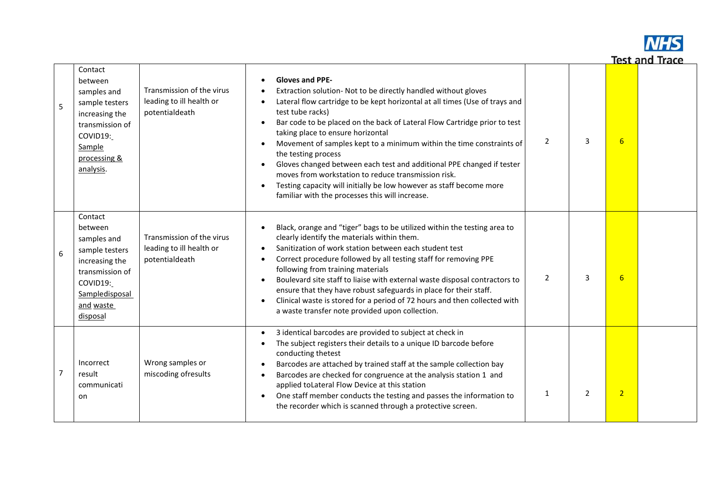

| 5 | Contact<br>between<br>samples and<br>sample testers<br>increasing the<br>transmission of<br>COVID19:<br>Sample<br>processing &<br>analysis.     | Transmission of the virus<br>leading to ill health or<br>potentialdeath | <b>Gloves and PPE-</b><br>Extraction solution- Not to be directly handled without gloves<br>Lateral flow cartridge to be kept horizontal at all times (Use of trays and<br>test tube racks)<br>Bar code to be placed on the back of Lateral Flow Cartridge prior to test<br>$\bullet$<br>taking place to ensure horizontal<br>Movement of samples kept to a minimum within the time constraints of<br>$\bullet$<br>the testing process<br>Gloves changed between each test and additional PPE changed if tester<br>$\bullet$<br>moves from workstation to reduce transmission risk.<br>Testing capacity will initially be low however as staff become more<br>$\bullet$<br>familiar with the processes this will increase. | $\overline{2}$ | 3 | $6 \overline{6}$ |  |
|---|-------------------------------------------------------------------------------------------------------------------------------------------------|-------------------------------------------------------------------------|----------------------------------------------------------------------------------------------------------------------------------------------------------------------------------------------------------------------------------------------------------------------------------------------------------------------------------------------------------------------------------------------------------------------------------------------------------------------------------------------------------------------------------------------------------------------------------------------------------------------------------------------------------------------------------------------------------------------------|----------------|---|------------------|--|
| 6 | Contact<br>between<br>samples and<br>sample testers<br>increasing the<br>transmission of<br>COVID19:<br>Sampledisposal<br>and waste<br>disposal | Transmission of the virus<br>leading to ill health or<br>potentialdeath | Black, orange and "tiger" bags to be utilized within the testing area to<br>clearly identify the materials within them.<br>Sanitization of work station between each student test<br>$\bullet$<br>Correct procedure followed by all testing staff for removing PPE<br>$\bullet$<br>following from training materials<br>Boulevard site staff to liaise with external waste disposal contractors to<br>$\bullet$<br>ensure that they have robust safeguards in place for their staff.<br>Clinical waste is stored for a period of 72 hours and then collected with<br>$\bullet$<br>a waste transfer note provided upon collection.                                                                                          | $\overline{2}$ | 3 | $6 \overline{6}$ |  |
| 7 | Incorrect<br>result<br>communicati<br>on                                                                                                        | Wrong samples or<br>miscoding ofresults                                 | 3 identical barcodes are provided to subject at check in<br>The subject registers their details to a unique ID barcode before<br>conducting thetest<br>Barcodes are attached by trained staff at the sample collection bay<br>$\bullet$<br>Barcodes are checked for congruence at the analysis station 1 and<br>$\bullet$<br>applied toLateral Flow Device at this station<br>One staff member conducts the testing and passes the information to<br>$\bullet$<br>the recorder which is scanned through a protective screen.                                                                                                                                                                                               | 1              | 2 | $\overline{2}$   |  |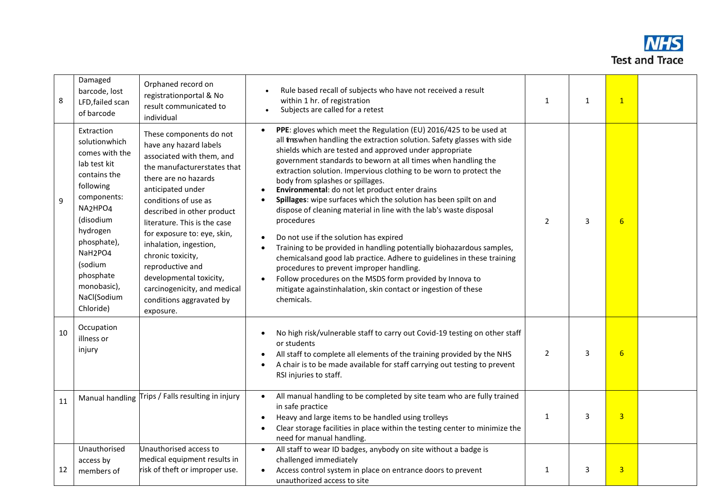

| 8  | Damaged<br>barcode, lost<br>LFD, failed scan<br>of barcode                                                                                                                                                                                                          | Orphaned record on<br>registrationportal & No<br>result communicated to<br>individual                                                                                                                                                                                                                                                                                                                                                                  | Rule based recall of subjects who have not received a result<br>within 1 hr. of registration<br>Subjects are called for a retest                                                                                                                                                                                                                                                                                                                                                                                                                                                                                                                                                                                                                                                                                                                                                                                                                                                                                                                    |                | $\mathbf{1}$ | $\mathbf{1}$    |  |
|----|---------------------------------------------------------------------------------------------------------------------------------------------------------------------------------------------------------------------------------------------------------------------|--------------------------------------------------------------------------------------------------------------------------------------------------------------------------------------------------------------------------------------------------------------------------------------------------------------------------------------------------------------------------------------------------------------------------------------------------------|-----------------------------------------------------------------------------------------------------------------------------------------------------------------------------------------------------------------------------------------------------------------------------------------------------------------------------------------------------------------------------------------------------------------------------------------------------------------------------------------------------------------------------------------------------------------------------------------------------------------------------------------------------------------------------------------------------------------------------------------------------------------------------------------------------------------------------------------------------------------------------------------------------------------------------------------------------------------------------------------------------------------------------------------------------|----------------|--------------|-----------------|--|
| 9  | Extraction<br>solutionwhich<br>comes with the<br>lab test kit<br>contains the<br>following<br>components:<br>NA2HPO4<br>(disodium<br>hydrogen<br>phosphate),<br>NaH <sub>2</sub> PO <sub>4</sub><br>(sodium<br>phosphate<br>monobasic),<br>NaCl(Sodium<br>Chloride) | These components do not<br>have any hazard labels<br>associated with them, and<br>the manufacturerstates that<br>there are no hazards<br>anticipated under<br>conditions of use as<br>described in other product<br>literature. This is the case<br>for exposure to: eye, skin,<br>inhalation, ingestion,<br>chronic toxicity,<br>reproductive and<br>developmental toxicity,<br>carcinogenicity, and medical<br>conditions aggravated by<br>exposure. | PPE: gloves which meet the Regulation (EU) 2016/425 to be used at<br>$\bullet$<br>all treswhen handling the extraction solution. Safety glasses with side<br>shields which are tested and approved under appropriate<br>government standards to beworn at all times when handling the<br>extraction solution. Impervious clothing to be worn to protect the<br>body from splashes or spillages.<br>Environmental: do not let product enter drains<br>$\bullet$<br>Spillages: wipe surfaces which the solution has been spilt on and<br>$\bullet$<br>dispose of cleaning material in line with the lab's waste disposal<br>procedures<br>Do not use if the solution has expired<br>Training to be provided in handling potentially biohazardous samples,<br>$\bullet$<br>chemicalsand good lab practice. Adhere to guidelines in these training<br>procedures to prevent improper handling.<br>Follow procedures on the MSDS form provided by Innova to<br>$\bullet$<br>mitigate againstinhalation, skin contact or ingestion of these<br>chemicals. | $\overline{2}$ | 3            | 6               |  |
| 10 | Occupation<br>illness or<br>injury                                                                                                                                                                                                                                  |                                                                                                                                                                                                                                                                                                                                                                                                                                                        | No high risk/vulnerable staff to carry out Covid-19 testing on other staff<br>or students<br>All staff to complete all elements of the training provided by the NHS<br>A chair is to be made available for staff carrying out testing to prevent<br>RSI injuries to staff.                                                                                                                                                                                                                                                                                                                                                                                                                                                                                                                                                                                                                                                                                                                                                                          | $\overline{2}$ | 3            | $6\overline{6}$ |  |
| 11 | Manual handling                                                                                                                                                                                                                                                     | Trips / Falls resulting in injury                                                                                                                                                                                                                                                                                                                                                                                                                      | All manual handling to be completed by site team who are fully trained<br>$\bullet$<br>in safe practice<br>Heavy and large items to be handled using trolleys<br>$\bullet$<br>Clear storage facilities in place within the testing center to minimize the<br>٠<br>need for manual handling.                                                                                                                                                                                                                                                                                                                                                                                                                                                                                                                                                                                                                                                                                                                                                         | $\mathbf{1}$   | 3            | $\overline{3}$  |  |
| 12 | Unauthorised<br>access by<br>members of                                                                                                                                                                                                                             | Unauthorised access to<br>medical equipment results in<br>risk of theft or improper use.                                                                                                                                                                                                                                                                                                                                                               | All staff to wear ID badges, anybody on site without a badge is<br>challenged immediately<br>Access control system in place on entrance doors to prevent<br>$\bullet$<br>unauthorized access to site                                                                                                                                                                                                                                                                                                                                                                                                                                                                                                                                                                                                                                                                                                                                                                                                                                                | $\mathbf{1}$   | 3            | $\overline{3}$  |  |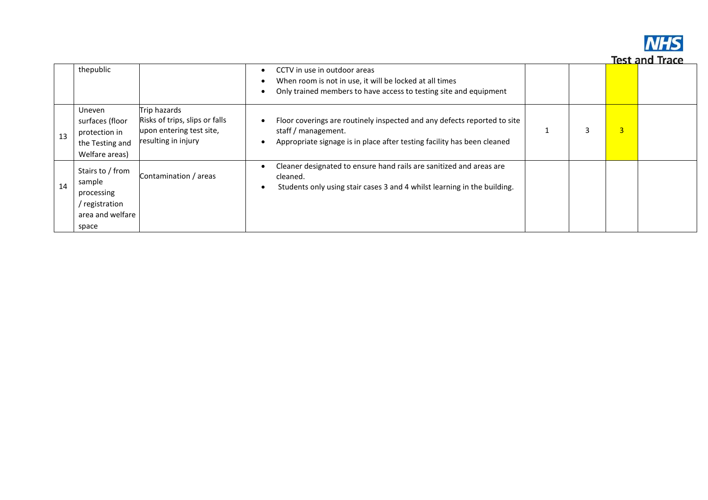

|    |                                                                                        |                                                                                                   |                                                                                                                                                                            |   |                | lest and indue |
|----|----------------------------------------------------------------------------------------|---------------------------------------------------------------------------------------------------|----------------------------------------------------------------------------------------------------------------------------------------------------------------------------|---|----------------|----------------|
|    | thepublic                                                                              |                                                                                                   | CCTV in use in outdoor areas<br>When room is not in use, it will be locked at all times<br>Only trained members to have access to testing site and equipment               |   |                |                |
| 13 | <b>Uneven</b><br>surfaces (floor<br>protection in<br>the Testing and<br>Welfare areas) | Trip hazards<br>Risks of trips, slips or falls<br>upon entering test site,<br>resulting in injury | Floor coverings are routinely inspected and any defects reported to site<br>staff / management.<br>Appropriate signage is in place after testing facility has been cleaned | 3 | $\overline{3}$ |                |
| 14 | Stairs to / from<br>sample<br>processing<br>registration<br>area and welfare<br>space  | Contamination / areas                                                                             | Cleaner designated to ensure hand rails are sanitized and areas are<br>cleaned.<br>Students only using stair cases 3 and 4 whilst learning in the building.<br>$\bullet$   |   |                |                |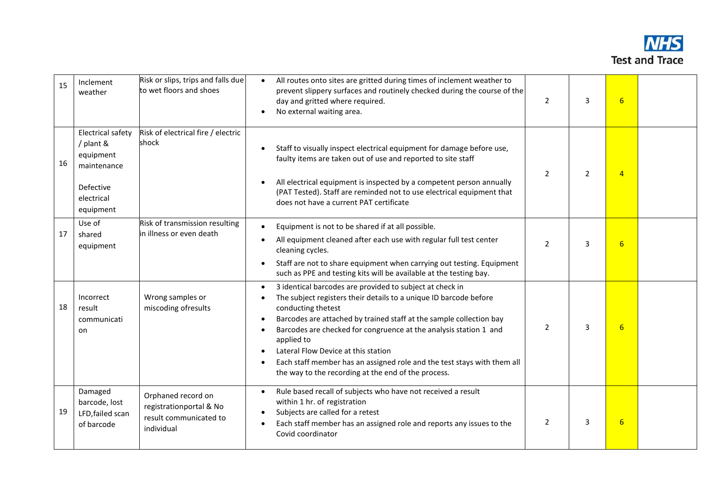

| 15 | Inclement<br>weather                                                                                      | Risk or slips, trips and falls due<br>to wet floors and shoes                         | All routes onto sites are gritted during times of inclement weather to<br>$\bullet$<br>prevent slippery surfaces and routinely checked during the course of the<br>day and gritted where required.<br>No external waiting area.<br>$\bullet$                                                                                                                                                                                                                                                                                  | $\overline{2}$ | 3              | $6\overline{6}$ |  |
|----|-----------------------------------------------------------------------------------------------------------|---------------------------------------------------------------------------------------|-------------------------------------------------------------------------------------------------------------------------------------------------------------------------------------------------------------------------------------------------------------------------------------------------------------------------------------------------------------------------------------------------------------------------------------------------------------------------------------------------------------------------------|----------------|----------------|-----------------|--|
| 16 | <b>Electrical safety</b><br>/ plant &<br>equipment<br>maintenance<br>Defective<br>electrical<br>equipment | Risk of electrical fire / electric<br>shock                                           | Staff to visually inspect electrical equipment for damage before use,<br>faulty items are taken out of use and reported to site staff<br>All electrical equipment is inspected by a competent person annually<br>$\bullet$<br>(PAT Tested). Staff are reminded not to use electrical equipment that<br>does not have a current PAT certificate                                                                                                                                                                                | $\overline{2}$ | $\overline{2}$ | $\overline{4}$  |  |
| 17 | Use of<br>shared<br>equipment                                                                             | Risk of transmission resulting<br>lin illness or even death                           | Equipment is not to be shared if at all possible.<br>$\bullet$<br>All equipment cleaned after each use with regular full test center<br>cleaning cycles.<br>Staff are not to share equipment when carrying out testing. Equipment<br>$\bullet$<br>such as PPE and testing kits will be available at the testing bay.                                                                                                                                                                                                          | $\overline{2}$ | 3              | $6\overline{6}$ |  |
| 18 | Incorrect<br>result<br>communicati<br>on                                                                  | Wrong samples or<br>miscoding ofresults                                               | 3 identical barcodes are provided to subject at check in<br>$\bullet$<br>The subject registers their details to a unique ID barcode before<br>conducting thetest<br>Barcodes are attached by trained staff at the sample collection bay<br>$\bullet$<br>Barcodes are checked for congruence at the analysis station 1 and<br>applied to<br>Lateral Flow Device at this station<br>Each staff member has an assigned role and the test stays with them all<br>$\bullet$<br>the way to the recording at the end of the process. | $\overline{2}$ | 3              | $6 \overline{}$ |  |
| 19 | Damaged<br>barcode, lost<br>LFD, failed scan<br>of barcode                                                | Orphaned record on<br>registrationportal & No<br>result communicated to<br>individual | Rule based recall of subjects who have not received a result<br>$\bullet$<br>within 1 hr. of registration<br>Subjects are called for a retest<br>$\bullet$<br>Each staff member has an assigned role and reports any issues to the<br>Covid coordinator                                                                                                                                                                                                                                                                       | $\overline{2}$ | 3              | $6\overline{6}$ |  |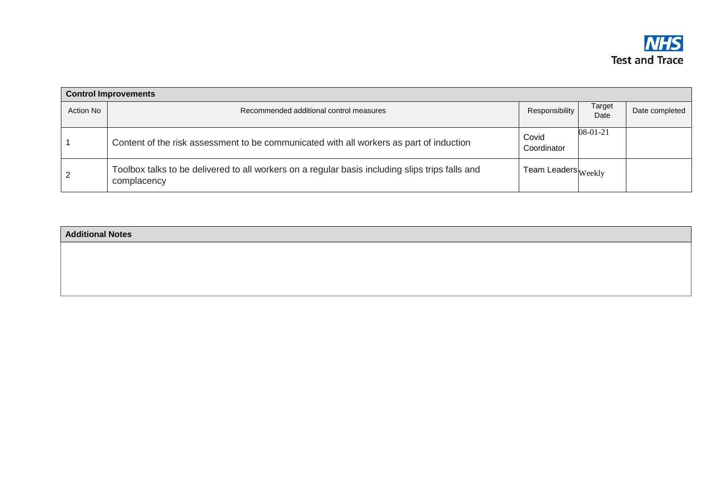

|           | <b>Control Improvements</b>                                                                                    |                                      |                |                |  |  |  |
|-----------|----------------------------------------------------------------------------------------------------------------|--------------------------------------|----------------|----------------|--|--|--|
| Action No | Recommended additional control measures                                                                        | Responsibility                       | Target<br>Date | Date completed |  |  |  |
|           | Content of the risk assessment to be communicated with all workers as part of induction                        | Covid<br>Coordinator                 | 08-01-21       |                |  |  |  |
|           | Toolbox talks to be delivered to all workers on a regular basis including slips trips falls and<br>complacency | ı Team Leaders $ _{\mathrm{Weeklv}}$ |                |                |  |  |  |

| <b>Additional Notes</b> |  |  |
|-------------------------|--|--|
|                         |  |  |
|                         |  |  |
|                         |  |  |
|                         |  |  |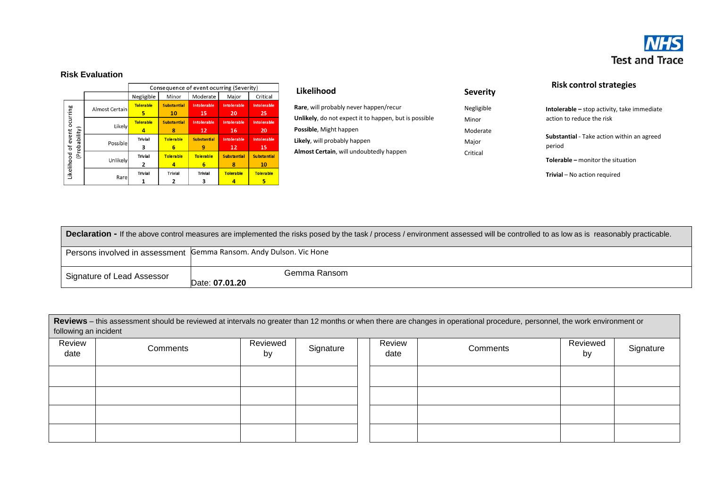

## **Risk Evaluation**

|                     |                |                  |                    | Consequence of event ocurring (Severity) |                     |                    |
|---------------------|----------------|------------------|--------------------|------------------------------------------|---------------------|--------------------|
|                     |                | Negligible       | Minor              | Moderate                                 | Major               | Critical           |
|                     | Almost Certain | <b>Tolerable</b> | <b>Substantial</b> | Intolerable                              | <b>Into lerable</b> | <b>Intolerable</b> |
|                     |                | 5                | 10                 | 15                                       | 20                  | 25                 |
| ocurring            | Likely         | <b>Tolerable</b> | <b>Substantial</b> | <b>Intolerable</b>                       | <b>Into lerable</b> | <b>Intolerable</b> |
|                     |                | 4                | 8                  | 12                                       | 16                  | 20                 |
| (Probability)       | Possible       | <b>Trivial</b>   | <b>Tolerable</b>   | <b>Substantial</b>                       | <b>Into lerable</b> | <b>Intolerable</b> |
|                     |                | з                | 6                  | 9                                        | 12                  | 15                 |
|                     |                | <b>Trivial</b>   | Tolera ble         | <b>Tolerable</b>                         | <b>Substantial</b>  | <b>Substantial</b> |
|                     | Unlikely       | 2                | 4                  | 6                                        | 8                   | 10                 |
| Likelihood of event |                | <b>Trivial</b>   | <b>Trivial</b>     | <b>Trivial</b>                           | <b>Tolerable</b>    | <b>Tole rable</b>  |
|                     | Rare           |                  |                    | з                                        |                     | 5                  |

| Likelihood                                                    | <b>Severity</b> |
|---------------------------------------------------------------|-----------------|
| Rare, will probably never happen/recur                        | Negligible      |
| <b>Unlikely</b> , do not expect it to happen, but is possible | Minor           |
| <b>Possible, Might happen</b>                                 | Moderate        |
| Likely, will probably happen                                  | Major           |
| <b>Almost Certain, will undoubtedly happen</b>                | Critical        |
|                                                               |                 |

**Severity**

**Risk control strategies**

**Intolerable –** stop activity, take immediate action to reduce the risk

**Substantial** - Take action within an agreed period

**Tolerable –** monitor the situation

**Trivial** – No action required

| <b>Declaration -</b> If the above control measures are implemented the risks posed by the task / process / environment assessed will be controlled to as low as is reasonably practicable. |                                                                    |  |  |  |  |  |
|--------------------------------------------------------------------------------------------------------------------------------------------------------------------------------------------|--------------------------------------------------------------------|--|--|--|--|--|
|                                                                                                                                                                                            | Persons involved in assessment Gemma Ransom. Andy Dulson. Vic Hone |  |  |  |  |  |
| Signature of Lead Assessor                                                                                                                                                                 | Gemma Ransom<br>Date: 07.01.20                                     |  |  |  |  |  |

**Reviews** – this assessment should be reviewed at intervals no greater than 12 months or when there are changes in operational procedure, personnel, the work environment or following an incident

| Review<br>date | Comments | Reviewed<br>by | Signature | Review<br>date | Comments | Reviewed<br>by | Signature |
|----------------|----------|----------------|-----------|----------------|----------|----------------|-----------|
|                |          |                |           |                |          |                |           |
|                |          |                |           |                |          |                |           |
|                |          |                |           |                |          |                |           |
|                |          |                |           |                |          |                |           |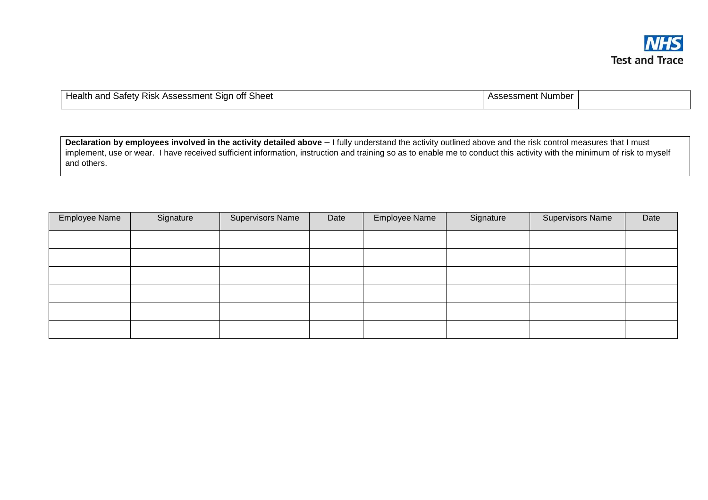

| Health and<br>∶ Assessment ∖<br>Sheet<br>u Safetv '<br>. off<br>′ Risk<br>. Sian- | Assessment Number |  |
|-----------------------------------------------------------------------------------|-------------------|--|
|                                                                                   |                   |  |

**Declaration by employees involved in the activity detailed above** – I fully understand the activity outlined above and the risk control measures that I must implement, use or wear. I have received sufficient information, instruction and training so as to enable me to conduct this activity with the minimum of risk to myself and others.

| Employee Name | Signature | <b>Supervisors Name</b> | Date | Employee Name | Signature | <b>Supervisors Name</b> | Date |
|---------------|-----------|-------------------------|------|---------------|-----------|-------------------------|------|
|               |           |                         |      |               |           |                         |      |
|               |           |                         |      |               |           |                         |      |
|               |           |                         |      |               |           |                         |      |
|               |           |                         |      |               |           |                         |      |
|               |           |                         |      |               |           |                         |      |
|               |           |                         |      |               |           |                         |      |